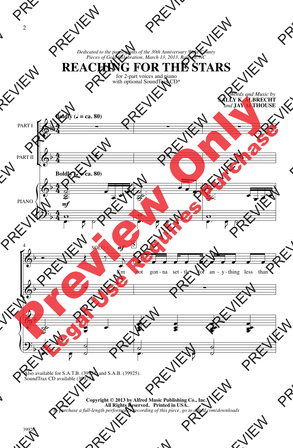*Dedicated to the participants of the 30th Anniversary Wake County Pieces of Gold Celebration, March 13, 2013, Raleigh, NC*

## **REACHING FOR THE STARS**

for 2-part voices and piano with optional SoundTrax CD\*



\* Also available for S.A.T.B. (39924) and S.A.B. (39925). SoundTrax CD available (39927).

> **Copyright © 2013 by Alfred Music Publishing Co., Inc. All Rights Reserved. Printed in USA.** *To purchase a full-length performance recording of this piece, go to alfred.com/downloads*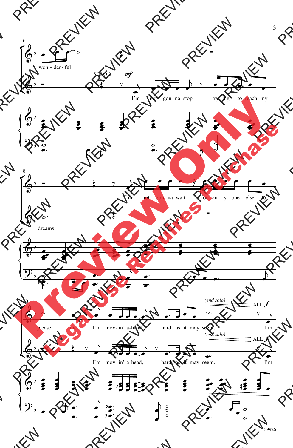

 $\mathfrak{Z}$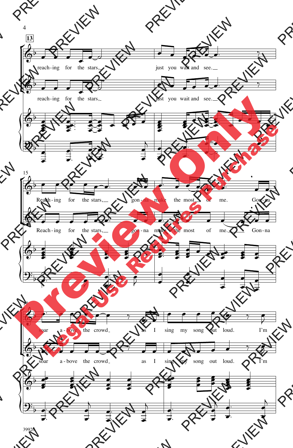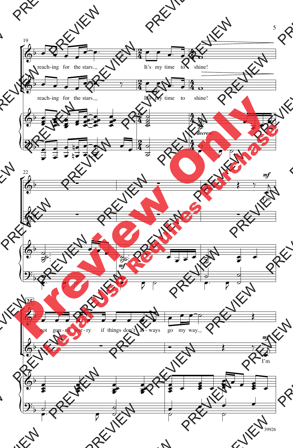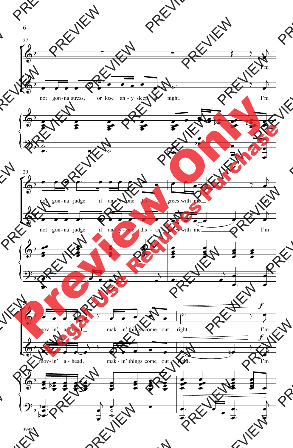

6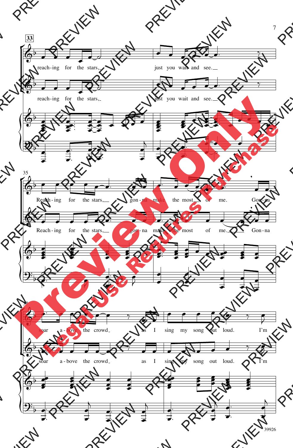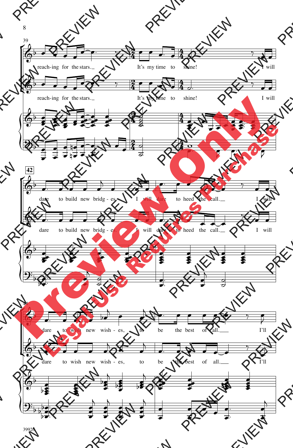

 $8\phantom{1}$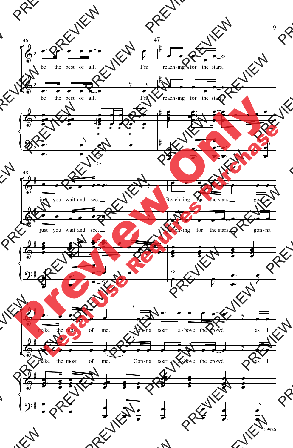

 $\boldsymbol{9}$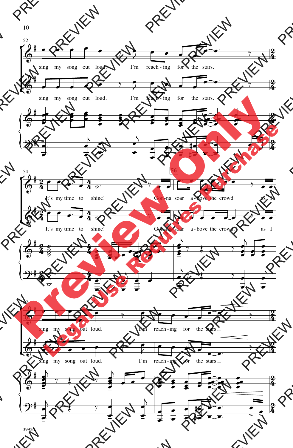

10